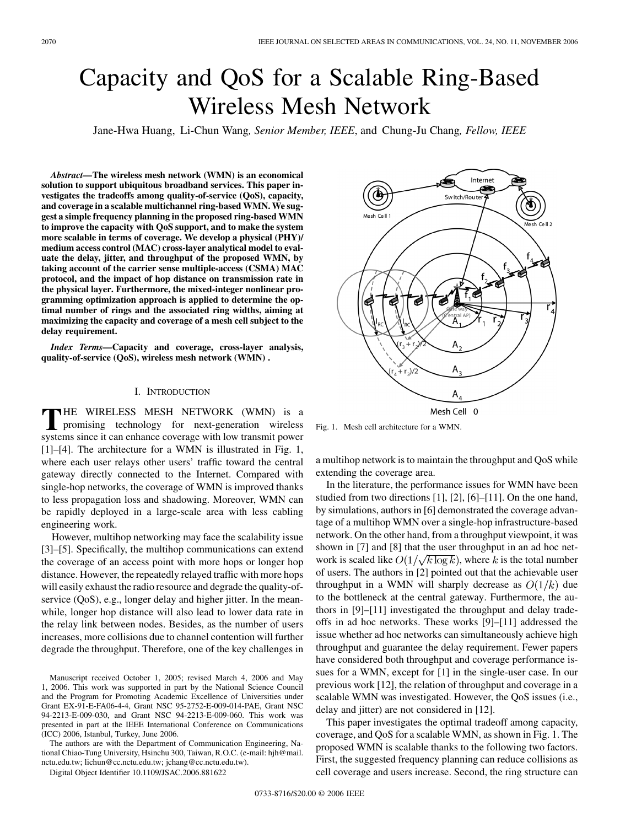# <span id="page-0-0"></span>Capacity and QoS for a Scalable Ring-Based Wireless Mesh Network

Jane-Hwa Huang, Li-Chun Wang*, Senior Member, IEEE*, and Chung-Ju Chang*, Fellow, IEEE*

*Abstract—***The wireless mesh network (WMN) is an economical solution to support ubiquitous broadband services. This paper investigates the tradeoffs among quality-of-service (QoS), capacity, and coverage in a scalable multichannel ring-based WMN. We suggest a simple frequency planning in the proposed ring-based WMN to improve the capacity with QoS support, and to make the system more scalable in terms of coverage. We develop a physical (PHY)/ medium access control (MAC) cross-layer analytical model to evaluate the delay, jitter, and throughput of the proposed WMN, by taking account of the carrier sense multiple-access (CSMA) MAC protocol, and the impact of hop distance on transmission rate in the physical layer. Furthermore, the mixed-integer nonlinear programming optimization approach is applied to determine the optimal number of rings and the associated ring widths, aiming at maximizing the capacity and coverage of a mesh cell subject to the delay requirement.**

*Index Terms—***Capacity and coverage, cross-layer analysis, quality-of-service (QoS), wireless mesh network (WMN) .**

# I. INTRODUCTION

THE WIRELESS MESH NETWORK (WMN) is a promising technology for next-generation wireless systems since it can enhance coverage with low transmit power [\[1\]–\[4\].](#page-10-0) The architecture for a WMN is illustrated in Fig. 1, where each user relays other users' traffic toward the central gateway directly connected to the Internet. Compared with single-hop networks, the coverage of WMN is improved thanks to less propagation loss and shadowing. Moreover, WMN can be rapidly deployed in a large-scale area with less cabling engineering work.

However, multihop networking may face the scalability issue [\[3\]–\[5\].](#page-10-0) Specifically, the multihop communications can extend the coverage of an access point with more hops or longer hop distance. However, the repeatedly relayed traffic with more hops will easily exhaust the radio resource and degrade the quality-ofservice (QoS), e.g., longer delay and higher jitter. In the meanwhile, longer hop distance will also lead to lower data rate in the relay link between nodes. Besides, as the number of users increases, more collisions due to channel contention will further degrade the throughput. Therefore, one of the key challenges in

The authors are with the Department of Communication Engineering, National Chiao-Tung University, Hsinchu 300, Taiwan, R.O.C. (e-mail: hjh@mail. nctu.edu.tw; lichun@cc.nctu.edu.tw; jchang@cc.nctu.edu.tw).



Fig. 1. Mesh cell architecture for a WMN.

a multihop network is to maintain the throughput and QoS while extending the coverage area.

In the literature, the performance issues for WMN have been studied from two directions [\[1\]](#page-10-0), [\[2\], \[6\]–\[11\].](#page-10-0) On the one hand, by simulations, authors in [\[6\]](#page-10-0) demonstrated the coverage advantage of a multihop WMN over a single-hop infrastructure-based network. On the other hand, from a throughput viewpoint, it was shown in [\[7\]](#page-10-0) and [\[8\]](#page-10-0) that the user throughput in an ad hoc network is scaled like  $O(1/\sqrt{k \log k})$ , where k is the total number of users. The authors in [\[2\]](#page-10-0) pointed out that the achievable user throughput in a WMN will sharply decrease as  $O(1/k)$  due to the bottleneck at the central gateway. Furthermore, the authors in [\[9\]–\[11\]](#page-10-0) investigated the throughput and delay tradeoffs in ad hoc networks. These works [\[9\]–\[11\]](#page-10-0) addressed the issue whether ad hoc networks can simultaneously achieve high throughput and guarantee the delay requirement. Fewer papers have considered both throughput and coverage performance issues for a WMN, except for [\[1\]](#page-10-0) in the single-user case. In our previous work [\[12\],](#page-10-0) the relation of throughput and coverage in a scalable WMN was investigated. However, the QoS issues (i.e., delay and jitter) are not considered in [\[12\].](#page-10-0)

This paper investigates the optimal tradeoff among capacity, coverage, and QoS for a scalable WMN, as shown in Fig. 1. The proposed WMN is scalable thanks to the following two factors. First, the suggested frequency planning can reduce collisions as cell coverage and users increase. Second, the ring structure can

Manuscript received October 1, 2005; revised March 4, 2006 and May 1, 2006. This work was supported in part by the National Science Council and the Program for Promoting Academic Excellence of Universities under Grant EX-91-E-FA06-4-4, Grant NSC 95-2752-E-009-014-PAE, Grant NSC 94-2213-E-009-030, and Grant NSC 94-2213-E-009-060. This work was presented in part at the IEEE International Conference on Communications (ICC) 2006, Istanbul, Turkey, June 2006.

Digital Object Identifier 10.1109/JSAC.2006.881622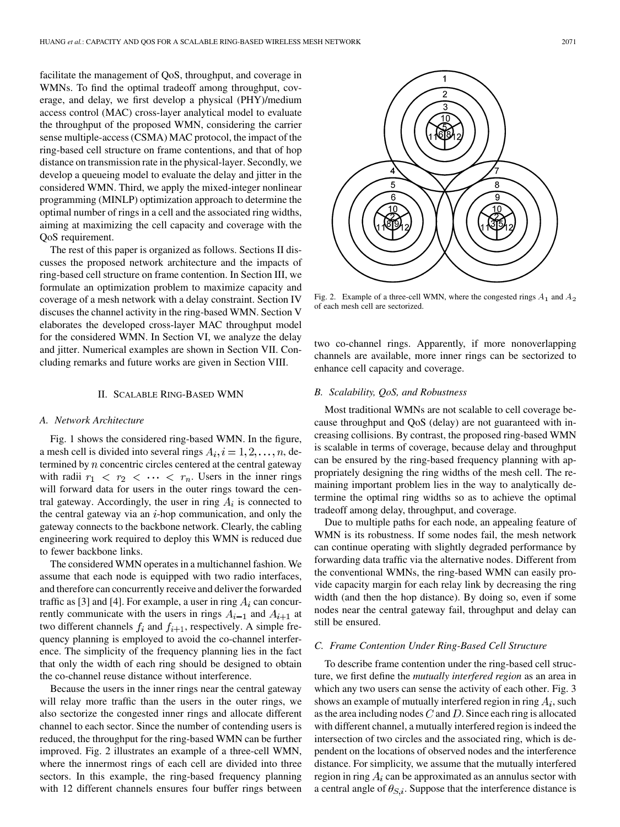<span id="page-1-0"></span>facilitate the management of QoS, throughput, and coverage in WMNs. To find the optimal tradeoff among throughput, coverage, and delay, we first develop a physical (PHY)/medium access control (MAC) cross-layer analytical model to evaluate the throughput of the proposed WMN, considering the carrier sense multiple-access (CSMA) MAC protocol, the impact of the ring-based cell structure on frame contentions, and that of hop distance on transmission rate in the physical-layer. Secondly, we develop a queueing model to evaluate the delay and jitter in the considered WMN. Third, we apply the mixed-integer nonlinear programming (MINLP) optimization approach to determine the optimal number of rings in a cell and the associated ring widths, aiming at maximizing the cell capacity and coverage with the QoS requirement.

The rest of this paper is organized as follows. Sections II discusses the proposed network architecture and the impacts of ring-based cell structure on frame contention. In [Section III,](#page-2-0) we formulate an optimization problem to maximize capacity and coverage of a mesh network with a delay constraint. [Section IV](#page-3-0) discuses the channel activity in the ring-based WMN. [Section V](#page-5-0) elaborates the developed cross-layer MAC throughput model for the considered WMN. In [Section VI](#page-6-0), we analyze the delay and jitter. Numerical examples are shown in [Section VII](#page-7-0). Concluding remarks and future works are given in [Section VIII.](#page-8-0)

### II. SCALABLE RING-BASED WMN

# *A. Network Architecture*

[Fig. 1](#page-0-0) shows the considered ring-based WMN. In the figure, a mesh cell is divided into several rings  $A_i$ ,  $i = 1, 2, \ldots, n$ , determined by  $n$  concentric circles centered at the central gateway with radii  $r_1$  <  $r_2$  <  $\cdots$  <  $r_n$ . Users in the inner rings will forward data for users in the outer rings toward the central gateway. Accordingly, the user in ring  $A_i$  is connected to the central gateway via an  $i$ -hop communication, and only the gateway connects to the backbone network. Clearly, the cabling engineering work required to deploy this WMN is reduced due to fewer backbone links.

The considered WMN operates in a multichannel fashion. We assume that each node is equipped with two radio interfaces, and therefore can concurrently receive and deliver the forwarded traffic as [\[3\]](#page-10-0) and [\[4\].](#page-10-0) For example, a user in ring  $A_i$  can concurrently communicate with the users in rings  $A_{i-1}$  and  $A_{i+1}$  at two different channels  $f_i$  and  $f_{i+1}$ , respectively. A simple frequency planning is employed to avoid the co-channel interference. The simplicity of the frequency planning lies in the fact that only the width of each ring should be designed to obtain the co-channel reuse distance without interference.

Because the users in the inner rings near the central gateway will relay more traffic than the users in the outer rings, we also sectorize the congested inner rings and allocate different channel to each sector. Since the number of contending users is reduced, the throughput for the ring-based WMN can be further improved. Fig. 2 illustrates an example of a three-cell WMN, where the innermost rings of each cell are divided into three sectors. In this example, the ring-based frequency planning with 12 different channels ensures four buffer rings between



Fig. 2. Example of a three-cell WMN, where the congested rings  $A_1$  and  $A_2$ of each mesh cell are sectorized.

two co-channel rings. Apparently, if more nonoverlapping channels are available, more inner rings can be sectorized to enhance cell capacity and coverage.

#### *B. Scalability, QoS, and Robustness*

Most traditional WMNs are not scalable to cell coverage because throughput and QoS (delay) are not guaranteed with increasing collisions. By contrast, the proposed ring-based WMN is scalable in terms of coverage, because delay and throughput can be ensured by the ring-based frequency planning with appropriately designing the ring widths of the mesh cell. The remaining important problem lies in the way to analytically determine the optimal ring widths so as to achieve the optimal tradeoff among delay, throughput, and coverage.

Due to multiple paths for each node, an appealing feature of WMN is its robustness. If some nodes fail, the mesh network can continue operating with slightly degraded performance by forwarding data traffic via the alternative nodes. Different from the conventional WMNs, the ring-based WMN can easily provide capacity margin for each relay link by decreasing the ring width (and then the hop distance). By doing so, even if some nodes near the central gateway fail, throughput and delay can still be ensured.

#### *C. Frame Contention Under Ring-Based Cell Structure*

To describe frame contention under the ring-based cell structure, we first define the *mutually interfered region* as an area in which any two users can sense the activity of each other. [Fig. 3](#page-2-0) shows an example of mutually interfered region in ring  $A_i$ , such as the area including nodes  $C$  and  $D$ . Since each ring is allocated with different channel, a mutually interfered region is indeed the intersection of two circles and the associated ring, which is dependent on the locations of observed nodes and the interference distance. For simplicity, we assume that the mutually interfered region in ring  $A_i$  can be approximated as an annulus sector with a central angle of  $\theta_{S,i}$ . Suppose that the interference distance is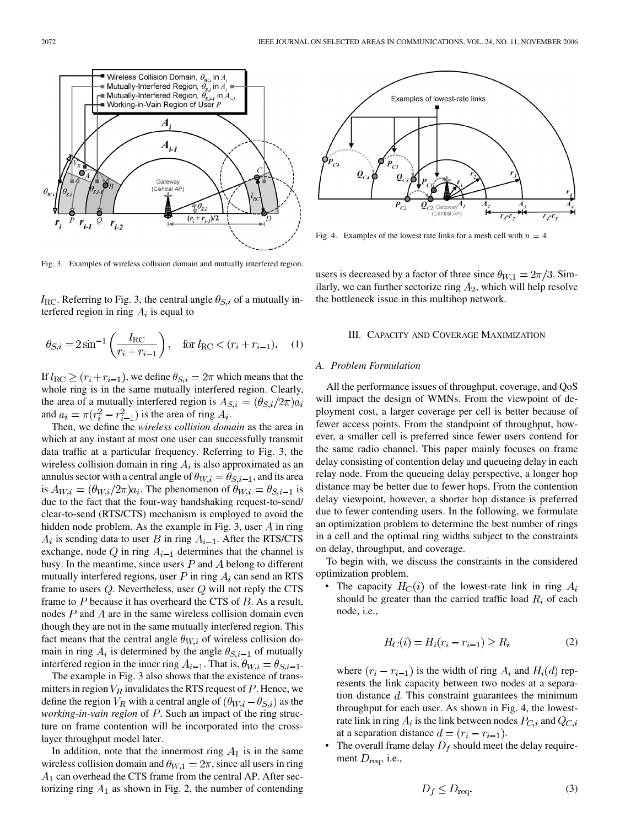<span id="page-2-0"></span>

Fig. 3. Examples of wireless collision domain and mutually interfered region.

 $l_{\text{RC}}$ . Referring to Fig. 3, the central angle  $\theta_{S,i}$  of a mutually interfered region in ring  $A_i$  is equal to

$$
\theta_{S,i} = 2\sin^{-1}\left(\frac{l_{\rm RC}}{r_i + r_{i-1}}\right)
$$
, for  $l_{\rm RC} < (r_i + r_{i-1})$ . (1)

If  $l_{\text{RC}} \geq (r_i + r_{i-1})$ , we define  $\theta_{S,i} = 2\pi$  which means that the whole ring is in the same mutually interfered region. Clearly, the area of a mutually interfered region is  $A_{S,i} = (\theta_{S,i}/2\pi)a_i$ and  $a_i = \pi (r_i^2 - r_{i-1}^2)$  is the area of ring  $A_i$ .

Then, we define the *wireless collision domain* as the area in which at any instant at most one user can successfully transmit data traffic at a particular frequency. Referring to Fig. 3, the wireless collision domain in ring  $A_i$  is also approximated as an annulus sector with a central angle of  $\theta_{W,i} = \theta_{S,i-1}$ , and its area is  $A_{W,i} = (\theta_{W,i}/2\pi)a_i$ . The phenomenon of  $\theta_{W,i} = \theta_{S,i-1}$  is due to the fact that the four-way handshaking request-to-send/ clear-to-send (RTS/CTS) mechanism is employed to avoid the hidden node problem. As the example in Fig. 3, user  $A$  in ring  $A_i$  is sending data to user B in ring  $A_{i-1}$ . After the RTS/CTS exchange, node Q in ring  $A_{i-1}$  determines that the channel is busy. In the meantime, since users  $P$  and  $\overline{A}$  belong to different mutually interfered regions, user  $P$  in ring  $A_i$  can send an RTS frame to users  $Q$ . Nevertheless, user  $Q$  will not reply the CTS frame to  $P$  because it has overheard the CTS of  $B$ . As a result, nodes  $P$  and  $\ddot{A}$  are in the same wireless collision domain even though they are not in the same mutually interfered region. This fact means that the central angle  $\theta_{W,i}$  of wireless collision domain in ring  $A_i$  is determined by the angle  $\theta_{S,i-1}$  of mutually interfered region in the inner ring  $A_{i-1}$ . That is,  $\theta_{W,i} = \theta_{S,i-1}$ .

The example in Fig. 3 also shows that the existence of transmitters in region  $V_R$  invalidates the RTS request of  $P$ . Hence, we define the region  $V_R$  with a central angle of  $(\theta_{W,i} - \theta_{S,i})$  as the *working-in-vain region* of P. Such an impact of the ring structure on frame contention will be incorporated into the crosslayer throughput model later.

In addition, note that the innermost ring  $A_1$  is in the same wireless collision domain and  $\theta_{W,1} = 2\pi$ , since all users in ring  $A_1$  can overhead the CTS frame from the central AP. After sectorizing ring  $A_1$  as shown in [Fig. 2](#page-1-0), the number of contending



Fig. 4. Examples of the lowest rate links for a mesh cell with  $n = 4$ .

users is decreased by a factor of three since  $\theta_{W,1} = 2\pi/3$ . Similarly, we can further sectorize ring  $A_2$ , which will help resolve the bottleneck issue in this multihop network.

#### III. CAPACITY AND COVERAGE MAXIMIZATION

#### *A. Problem Formulation*

All the performance issues of throughput, coverage, and QoS will impact the design of WMNs. From the viewpoint of deployment cost, a larger coverage per cell is better because of fewer access points. From the standpoint of throughput, however, a smaller cell is preferred since fewer users contend for the same radio channel. This paper mainly focuses on frame delay consisting of contention delay and queueing delay in each relay node. From the queueing delay perspective, a longer hop distance may be better due to fewer hops. From the contention delay viewpoint, however, a shorter hop distance is preferred due to fewer contending users. In the following, we formulate an optimization problem to determine the best number of rings in a cell and the optimal ring widths subject to the constraints on delay, throughput, and coverage.

To begin with, we discuss the constraints in the considered optimization problem.

• The capacity  $H_C(i)$  of the lowest-rate link in ring  $A_i$ should be greater than the carried traffic load  $R_i$  of each node, i.e.,

$$
H_C(i) = H_i(r_i - r_{i-1}) \ge R_i \tag{2}
$$

where  $(r_i - r_{i-1})$  is the width of ring  $A_i$  and  $H_i(d)$  represents the link capacity between two nodes at a separation distance  $d$ . This constraint guarantees the minimum throughput for each user. As shown in Fig. 4, the lowestrate link in ring  $A_i$  is the link between nodes  $P_{C,i}$  and  $Q_{C,i}$ at a separation distance  $d = (r_i - r_{i-1}).$ 

The overall frame delay  $D_f$  should meet the delay requirement  $D_{\text{req}}$ , i.e.,

$$
D_f \le D_{\text{req}}.\tag{3}
$$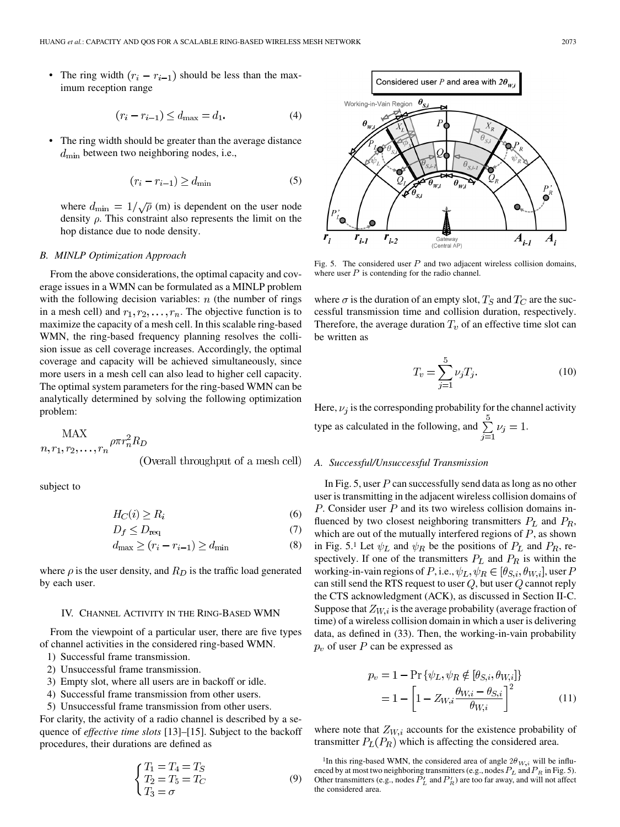<span id="page-3-0"></span>• The ring width  $(r_i - r_{i-1})$  should be less than the maximum reception range

$$
(r_i - r_{i-1}) \le d_{\text{max}} = d_1. \tag{4}
$$

The ring width should be greater than the average distance  $d_{\text{min}}$  between two neighboring nodes, i.e.,

$$
(r_i - r_{i-1}) \ge d_{\min} \tag{5}
$$

where  $d_{\text{min}} = 1/\sqrt{\rho}$  (m) is dependent on the user node density  $\rho$ . This constraint also represents the limit on the hop distance due to node density.

### *B. MINLP Optimization Approach*

From the above considerations, the optimal capacity and coverage issues in a WMN can be formulated as a MINLP problem with the following decision variables:  $n$  (the number of rings in a mesh cell) and  $r_1, r_2, \ldots, r_n$ . The objective function is to maximize the capacity of a mesh cell. In this scalable ring-based WMN, the ring-based frequency planning resolves the collision issue as cell coverage increases. Accordingly, the optimal coverage and capacity will be achieved simultaneously, since more users in a mesh cell can also lead to higher cell capacity. The optimal system parameters for the ring-based WMN can be analytically determined by solving the following optimization problem:

MAX  

$$
n, r_1, r_2, \ldots, r_n
$$
 <sup>$\rho \pi r_n^2 R_D$</sup>   
(Overall throughput of a mesh cell)

subject to

$$
H_C(i) \ge R_i \tag{6}
$$

$$
D_f \le D_{\text{req}} \tag{7}
$$

$$
d_{\max} \ge (r_i - r_{i-1}) \ge d_{\min} \tag{8}
$$

where  $\rho$  is the user density, and  $R_D$  is the traffic load generated by each user.

# IV. CHANNEL ACTIVITY IN THE RING-BASED WMN

From the viewpoint of a particular user, there are five types of channel activities in the considered ring-based WMN.

- 1) Successful frame transmission.
- 2) Unsuccessful frame transmission.
- 3) Empty slot, where all users are in backoff or idle.
- 4) Successful frame transmission from other users.
- 5) Unsuccessful frame transmission from other users.

For clarity, the activity of a radio channel is described by a sequence of *effective time slots* [\[13\]–\[15\]](#page-10-0). Subject to the backoff procedures, their durations are defined as

$$
\begin{cases}\nT_1 = T_4 = T_S \\
T_2 = T_5 = T_C \\
T_3 = \sigma\n\end{cases}
$$
\n(9)



Fig. 5. The considered user  $P$  and two adjacent wireless collision domains, where user  $P$  is contending for the radio channel.

where  $\sigma$  is the duration of an empty slot,  $T_S$  and  $T_C$  are the successful transmission time and collision duration, respectively. Therefore, the average duration  $T_v$  of an effective time slot can be written as

$$
T_v = \sum_{j=1}^{5} \nu_j T_j.
$$
 (10)

Here,  $\nu_i$  is the corresponding probability for the channel activity type as calculated in the following, and  $\sum_{i=1}^{3} \nu_i = 1$ .

# *A. Successful/Unsuccessful Transmission*

In Fig. 5, user  $P$  can successfully send data as long as no other user is transmitting in the adjacent wireless collision domains of  $P$ . Consider user  $P$  and its two wireless collision domains influenced by two closest neighboring transmitters  $P_L$  and  $P_R$ , which are out of the mutually interfered regions of  $P$ , as shown in Fig. 5.1 Let  $\psi_L$  and  $\psi_R$  be the positions of  $P_L$  and  $P_R$ , respectively. If one of the transmitters  $P_L$  and  $P_R$  is within the working-in-vain regions of P, i.e.,  $\psi_L, \psi_R \in [\theta_{S,i}, \theta_{W,i}]$ , user P can still send the RTS request to user  $\mathbb Q,$  but user  $\mathbb Q$  cannot reply the CTS acknowledgment (ACK), as discussed in [Section II-C.](#page-1-0) Suppose that  $Z_{W,i}$  is the average probability (average fraction of time) of a wireless collision domain in which a user is delivering data, as defined in [\(33\)](#page-6-0). Then, the working-in-vain probability  $p_v$  of user P can be expressed as

$$
p_v = 1 - \Pr \{ \psi_L, \psi_R \notin [\theta_{S,i}, \theta_{W,i}] \}
$$

$$
= 1 - \left[ 1 - Z_{W,i} \frac{\theta_{W,i} - \theta_{S,i}}{\theta_{W,i}} \right]^2 \tag{11}
$$

where note that  $Z_{W,i}$  accounts for the existence probability of transmitter  $P_L(P_R)$  which is affecting the considered area.

<sup>1</sup>In this ring-based WMN, the considered area of angle  $2\theta_{W,i}$  will be influenced by at most two neighboring transmitters (e.g., nodes  $P_L$  and  $P_R$  in Fig. 5). Other transmitters (e.g., nodes  $P'_L$  and  $P'_R$ ) are too far away, and will not affect the considered area.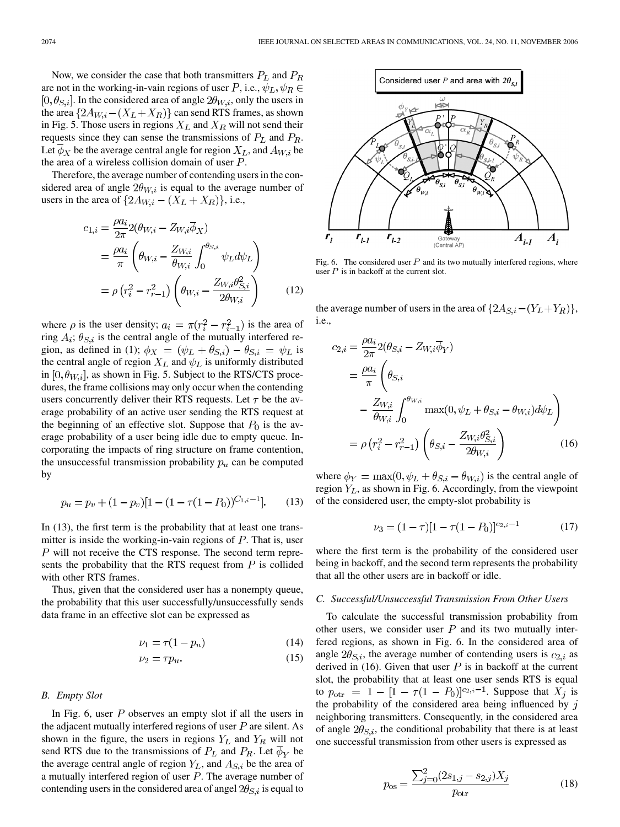<span id="page-4-0"></span>Now, we consider the case that both transmitters  $P_L$  and  $P_R$ are not in the working-in-vain regions of user P, i.e.,  $\psi_L, \psi_R \in$  $[0, \theta_{S,i}]$ . In the considered area of angle  $2\theta_{W,i}$ , only the users in the area  $\{2A_{W,i} - (X_L + X_R)\}\)$  can send RTS frames, as shown in [Fig. 5.](#page-3-0) Those users in regions  $X_L$  and  $X_R$  will not send their requests since they can sense the transmissions of  $P_L$  and  $P_R$ . Let  $\overline{\phi}_X$  be the average central angle for region  $X_L$ , and  $A_{W,i}$  be the area of a wireless collision domain of user  $P$ .

Therefore, the average number of contending users in the considered area of angle  $2\theta_{W,i}$  is equal to the average number of users in the area of  $\{2A_{W,i} - (X_L + X_R)\}\)$ , i.e.,

$$
c_{1,i} = \frac{\rho a_i}{2\pi} 2(\theta_{W,i} - Z_{W,i} \overline{\phi}_X)
$$
  
= 
$$
\frac{\rho a_i}{\pi} \left( \theta_{W,i} - \frac{Z_{W,i}}{\theta_{W,i}} \int_0^{\theta_{S,i}} \psi_L d\psi_L \right)
$$
  
= 
$$
\rho (r_i^2 - r_{r-1}^2) \left( \theta_{W,i} - \frac{Z_{W,i} \theta_{S,i}^2}{2\theta_{W,i}} \right)
$$
(12)

where  $\rho$  is the user density;  $a_i = \pi (r_i^2 - r_{i-1}^2)$  is the area of ring  $A_i$ ;  $\theta_{S,i}$  is the central angle of the mutually interfered re-gion, as defined in [\(1\)](#page-2-0);  $\phi_X = (\psi_L + \theta_{S,i}) - \theta_{S,i} = \psi_L$  is the central angle of region  $X_L$  and  $\psi_L$  is uniformly distributed in  $[0, \theta_{W,i}]$ , as shown in [Fig. 5.](#page-3-0) Subject to the RTS/CTS procedures, the frame collisions may only occur when the contending users concurrently deliver their RTS requests. Let  $\tau$  be the average probability of an active user sending the RTS request at the beginning of an effective slot. Suppose that  $P_0$  is the average probability of a user being idle due to empty queue. Incorporating the impacts of ring structure on frame contention, the unsuccessful transmission probability  $p_u$  can be computed by

$$
p_u = p_v + (1 - p_v)[1 - (1 - \tau(1 - P_0))^{C_{1,i} - 1}].
$$
 (13)

In (13), the first term is the probability that at least one transmitter is inside the working-in-vain regions of  $P$ . That is, user  $P$  will not receive the CTS response. The second term represents the probability that the RTS request from  $P$  is collided with other RTS frames.

Thus, given that the considered user has a nonempty queue, the probability that this user successfully/unsuccessfully sends data frame in an effective slot can be expressed as

$$
\nu_1 = \tau (1 - p_u) \tag{14}
$$

$$
\nu_2 = \tau p_u. \tag{15}
$$

# *B. Empty Slot*

In Fig. 6, user  $P$  observes an empty slot if all the users in the adjacent mutually interfered regions of user  $P$  are silent. As shown in the figure, the users in regions  $Y_L$  and  $Y_R$  will not send RTS due to the transmissions of  $P_L$  and  $P_R$ . Let  $\phi_Y$  be the average central angle of region  $Y_L$ , and  $A_{S,i}$  be the area of a mutually interfered region of user  $P$ . The average number of contending users in the considered area of angel  $2\theta_{S,i}$  is equal to



Fig. 6. The considered user  $P$  and its two mutually interfered regions, where user  $P$  is in backoff at the current slot.

the average number of users in the area of  $\{2A_{S,i} - (Y_L + Y_R)\},\$ i.e.,

$$
c_{2,i} = \frac{\rho a_i}{2\pi} 2(\theta_{S,i} - Z_{W,i} \overline{\phi}_Y)
$$
  
=  $\frac{\rho a_i}{\pi} \left( \theta_{S,i} - \frac{Z_{W,i}}{\theta_{W,i}} \int_0^{\theta_{W,i}} \max(0, \psi_L + \theta_{S,i} - \theta_{W,i}) d\psi_L \right)$   
=  $\rho (r_i^2 - r_{r-1}^2) \left( \theta_{S,i} - \frac{Z_{W,i} \theta_{S,i}^2}{2\theta_{W,i}} \right)$  (16)

where  $\phi_Y = \max(0, \psi_L + \theta_{S,i} - \theta_{W,i})$  is the central angle of region  $Y_L$ , as shown in Fig. 6. Accordingly, from the viewpoint of the considered user, the empty-slot probability is

$$
\nu_3 = (1 - \tau)[1 - \tau(1 - P_0)]^{c_{2,i} - 1} \tag{17}
$$

where the first term is the probability of the considered user being in backoff, and the second term represents the probability that all the other users are in backoff or idle.

#### *C. Successful/Unsuccessful Transmission From Other Users*

To calculate the successful transmission probability from other users, we consider user  $P$  and its two mutually interfered regions, as shown in Fig. 6. In the considered area of angle  $2\theta_{S,i}$ , the average number of contending users is  $c_{2,i}$  as derived in (16). Given that user  $P$  is in backoff at the current slot, the probability that at least one user sends RTS is equal to  $p_{\text{otr}} = 1 - [1 - \tau(1 - P_0)]^{c_{2,i}-1}$ . Suppose that  $X_j$  is the probability of the considered area being influenced by  $j$ neighboring transmitters. Consequently, in the considered area of angle  $2\theta_{S,i}$ , the conditional probability that there is at least one successful transmission from other users is expressed as

$$
p_{\text{os}} = \frac{\sum_{j=0}^{2} (2s_{1,j} - s_{2,j})X_j}{p_{\text{otr}}} \tag{18}
$$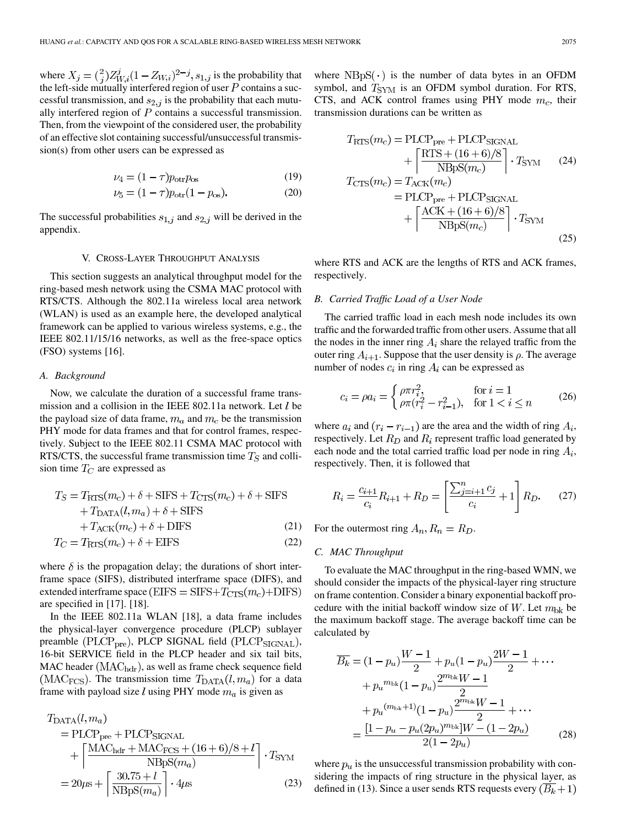<span id="page-5-0"></span>where  $X_i = \binom{2}{i} Z_{Wi}^j (1 - Z_{Wi})^{2-j}$ ,  $s_{1,i}$  is the probability that the left-side mutually interfered region of user  $P$  contains a successful transmission, and  $s_{2,j}$  is the probability that each mutually interfered region of  $P$  contains a successful transmission. Then, from the viewpoint of the considered user, the probability of an effective slot containing successful/unsuccessful transmission(s) from other users can be expressed as

$$
\nu_4 = (1 - \tau) p_{\text{otr}} p_{\text{os}} \tag{19}
$$

$$
\nu_5 = (1 - \tau) p_{\text{otr}} (1 - p_{\text{os}}). \tag{20}
$$

The successful probabilities  $s_{1,j}$  and  $s_{2,j}$  will be derived in the [appendix.](#page-9-0)

# V. CROSS-LAYER THROUGHPUT ANALYSIS

This section suggests an analytical throughput model for the ring-based mesh network using the CSMA MAC protocol with RTS/CTS. Although the 802.11a wireless local area network (WLAN) is used as an example here, the developed analytical framework can be applied to various wireless systems, e.g., the IEEE 802.11/15/16 networks, as well as the free-space optics (FSO) systems [\[16\].](#page-10-0)

#### *A. Background*

Now, we calculate the duration of a successful frame transmission and a collision in the IEEE 802.11a network. Let  $l$  be the payload size of data frame,  $m_a$  and  $m_c$  be the transmission PHY mode for data frames and that for control frames, respectively. Subject to the IEEE 802.11 CSMA MAC protocol with RTS/CTS, the successful frame transmission time  $T<sub>S</sub>$  and collision time  $T_C$  are expressed as

$$
T_S = T_{\text{RTS}}(m_c) + \delta + \text{SIFS} + T_{\text{CTS}}(m_c) + \delta + \text{SIFS}
$$
  
+ 
$$
T_{\text{DATA}}(l, m_a) + \delta + \text{SIFS}
$$
  
+ 
$$
T_{\text{ACK}}(m_c) + \delta + \text{DIFS}
$$
 (21)  

$$
T_C = T_{\text{RTS}}(m_c) + \delta + \text{EIFS}
$$
 (22)

where 
$$
\delta
$$
 is the propagation delay; the durations of short inter-  
frame space (SIFS), distributed interframe space (DIFS), and  
extended interframe space (EIFS = SIFS+ $T_{\text{CTS}}(m_c)$ +DIFS)  
are specified in [17]. [18].

In the IEEE 802.11a WLAN [\[18\]](#page-10-0), a data frame includes the physical-layer convergence procedure (PLCP) sublayer preamble ( $PLCP_{pre}$ ), PLCP SIGNAL field ( $PLCP_{SIGNAL}$ ), 16-bit SERVICE field in the PLCP header and six tail bits, MAC header  $(MAC_{\text{hdr}})$ , as well as frame check sequence field (MAC<sub>FCS</sub>). The transmission time  $T_{\text{DATA}}(l, m_a)$  for a data frame with payload size  $l$  using PHY mode  $m_a$  is given as

$$
T_{\text{DATA}}(l, m_a)
$$
  
= PLCP<sub>pre</sub> + PLCP<sub>SIGNAL</sub>  
+ 
$$
\left\lceil \frac{\text{MAC}_{\text{hdr}} + \text{MAC}_{\text{FCS}} + (16+6)/8 + l}{\text{NBpS}(m_a)} \right\rceil \cdot T_{\text{SYM}}
$$
  
= 
$$
20\mu\text{s} + \left\lceil \frac{30.75 + l}{\text{NBpS}(m_a)} \right\rceil \cdot 4\mu\text{s}
$$
 (23)

where  $NBpS(·)$  is the number of data bytes in an OFDM symbol, and  $T_{\text{SYM}}$  is an OFDM symbol duration. For RTS, CTS, and ACK control frames using PHY mode  $m_c$ , their transmission durations can be written as

$$
T_{\rm RTS}(m_c) = \text{PLCP}_{\text{pre}} + \text{PLCP}_{\text{SGNAL}} + \left[ \frac{\text{RTS} + (16 + 6)/8}{\text{NBpS}(m_c)} \right] \cdot T_{\text{SYM}} \qquad (24)
$$

$$
T_{\text{CTS}}(m_c) = T_{\text{ACK}}(m_c)
$$

$$
= \text{PLCP}_{\text{pre}} + \text{PLCP}_{\text{SGNAL}} + \left[ \frac{\text{ACK} + (16 + 6)/8}{\text{NBpS}(m_c)} \right] \cdot T_{\text{SYM}} \qquad (25)
$$

where RTS and ACK are the lengths of RTS and ACK frames, respectively.

# *B. Carried Traffic Load of a User Node*

The carried traffic load in each mesh node includes its own traffic and the forwarded traffic from other users. Assume that all the nodes in the inner ring  $A_i$  share the relayed traffic from the outer ring  $A_{i+1}$ . Suppose that the user density is  $\rho$ . The average number of nodes  $c_i$  in ring  $A_i$  can be expressed as

$$
c_i = \rho a_i = \begin{cases} \rho \pi r_i^2, & \text{for } i = 1\\ \rho \pi (r_i^2 - r_{i-1}^2), & \text{for } 1 < i \le n \end{cases}
$$
 (26)

where  $a_i$  and  $(r_i - r_{i-1})$  are the area and the width of ring  $A_i$ , respectively. Let  $R_D$  and  $R_i$  represent traffic load generated by each node and the total carried traffic load per node in ring  $A_i$ , respectively. Then, it is followed that

$$
R_i = \frac{c_{i+1}}{c_i} R_{i+1} + R_D = \left[ \frac{\sum_{j=i+1}^n c_j}{c_i} + 1 \right] R_D. \tag{27}
$$

For the outermost ring  $A_n$ ,  $R_n = R_D$ .

# *C. MAC Throughput*

To evaluate the MAC throughput in the ring-based WMN, we should consider the impacts of the physical-layer ring structure on frame contention. Consider a binary exponential backoff procedure with the initial backoff window size of W. Let  $m_{\rm bk}$  be the maximum backoff stage. The average backoff time can be calculated by

$$
\overline{B_k} = (1 - p_u) \frac{W - 1}{2} + p_u (1 - p_u) \frac{2W - 1}{2} + \cdots
$$

$$
+ p_u^{m_{\text{bk}}}(1 - p_u) \frac{2^{m_{\text{bk}}W - 1}}{2}
$$

$$
+ p_u^{(m_{\text{bk}}+1)}(1 - p_u) \frac{2^{m_{\text{bk}}W - 1}}{2} + \cdots
$$

$$
= \frac{[1 - p_u - p_u (2p_u)^{m_{\text{bk}}}]W - (1 - 2p_u)}{2(1 - 2p_u)}
$$
(28)

where  $p_u$  is the unsuccessful transmission probability with considering the impacts of ring structure in the physical layer, as defined in [\(13\)](#page-4-0). Since a user sends RTS requests every  $(\overline{B_k} + 1)$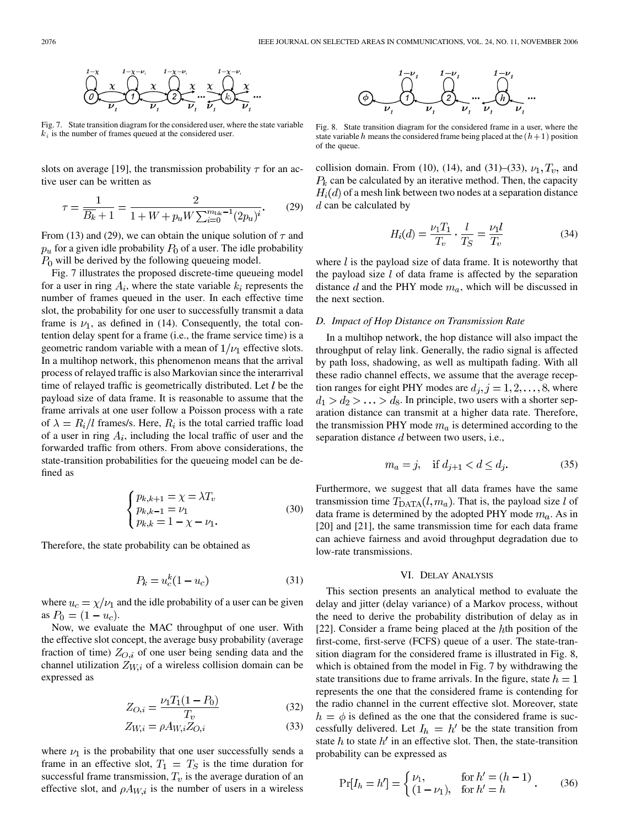<span id="page-6-0"></span>

Fig. 7. State transition diagram for the considered user, where the state variable  $k_i$  is the number of frames queued at the considered user.

slots on average [\[19\],](#page-10-0) the transmission probability  $\tau$  for an active user can be written as

$$
\tau = \frac{1}{\overline{B_k} + 1} = \frac{2}{1 + W + p_u W \sum_{i=0}^{m_{\text{bk}} - 1} (2p_u)^i}.
$$
 (29)

From [\(13\)](#page-4-0) and (29), we can obtain the unique solution of  $\tau$  and  $p_u$  for a given idle probability  $P_0$  of a user. The idle probability  $P_0$  will be derived by the following queueing model.

Fig. 7 illustrates the proposed discrete-time queueing model for a user in ring  $A_i$ , where the state variable  $k_i$  represents the number of frames queued in the user. In each effective time slot, the probability for one user to successfully transmit a data frame is  $\nu_1$ , as defined in [\(14\).](#page-4-0) Consequently, the total contention delay spent for a frame (i.e., the frame service time) is a geometric random variable with a mean of  $1/\nu_1$  effective slots. In a multihop network, this phenomenon means that the arrival process of relayed traffic is also Markovian since the interarrival time of relayed traffic is geometrically distributed. Let  $l$  be the payload size of data frame. It is reasonable to assume that the frame arrivals at one user follow a Poisson process with a rate of  $\lambda = R_i/l$  frames/s. Here,  $R_i$  is the total carried traffic load of a user in ring  $A_i$ , including the local traffic of user and the forwarded traffic from others. From above considerations, the state-transition probabilities for the queueing model can be defined as

$$
\begin{cases} p_{k,k+1} = \chi = \lambda T_v \\ p_{k,k-1} = \nu_1 \\ p_{k,k} = 1 - \chi - \nu_1. \end{cases}
$$
 (30)

Therefore, the state probability can be obtained as

$$
P_k = u_c^k (1 - u_c) \tag{31}
$$

where  $u_c = \chi/\nu_1$  and the idle probability of a user can be given as  $P_0 = (1 - u_c)$ .

Now, we evaluate the MAC throughput of one user. With the effective slot concept, the average busy probability (average fraction of time)  $Z_{O,i}$  of one user being sending data and the channel utilization  $Z_{W,i}$  of a wireless collision domain can be expressed as

$$
Z_{O,i} = \frac{\nu_1 T_1 (1 - P_0)}{T_v} \tag{32}
$$

$$
Z_{W,i} = \rho A_{W,i} Z_{O,i} \tag{33}
$$

where  $\nu_1$  is the probability that one user successfully sends a frame in an effective slot,  $T_1 = T_S$  is the time duration for successful frame transmission,  $T_v$  is the average duration of an effective slot, and  $\rho A_{W,i}$  is the number of users in a wireless



Fig. 8. State transition diagram for the considered frame in a user, where the state variable h means the considered frame being placed at the  $(h+1)$  position of the queue.

collision domain. From [\(10\),](#page-3-0) [\(14\),](#page-4-0) and (31)–(33),  $\nu_1, T_v$ , and  $P_k$  can be calculated by an iterative method. Then, the capacity  $H_i(d)$  of a mesh link between two nodes at a separation distance  $d$  can be calculated by

$$
H_i(d) = \frac{\nu_1 T_1}{T_v} \cdot \frac{l}{T_S} = \frac{\nu_1 l}{T_v}
$$
 (34)

where  $l$  is the payload size of data frame. It is noteworthy that the payload size  $l$  of data frame is affected by the separation distance  $d$  and the PHY mode  $m_a$ , which will be discussed in the next section.

# *D. Impact of Hop Distance on Transmission Rate*

In a multihop network, the hop distance will also impact the throughput of relay link. Generally, the radio signal is affected by path loss, shadowing, as well as multipath fading. With all these radio channel effects, we assume that the average reception ranges for eight PHY modes are  $d_j$ ,  $j = 1, 2, ..., 8$ , where  $d_1 > d_2 > \ldots > d_8$ . In principle, two users with a shorter separation distance can transmit at a higher data rate. Therefore, the transmission PHY mode  $m_a$  is determined according to the separation distance  $d$  between two users, i.e.,

$$
m_a = j
$$
, if  $d_{j+1} < d \le d_j$ . (35)

Furthermore, we suggest that all data frames have the same transmission time  $T_{\text{DATA}}(l, m_a)$ . That is, the payload size l of data frame is determined by the adopted PHY mode  $m_a$ . As in [\[20\]](#page-10-0) and [\[21\]](#page-10-0), the same transmission time for each data frame can achieve fairness and avoid throughput degradation due to low-rate transmissions.

#### VI. DELAY ANALYSIS

This section presents an analytical method to evaluate the delay and jitter (delay variance) of a Markov process, without the need to derive the probability distribution of delay as in [\[22\]](#page-10-0). Consider a frame being placed at the  $h$ th position of the first-come, first-serve (FCFS) queue of a user. The state-transition diagram for the considered frame is illustrated in Fig. 8, which is obtained from the model in Fig. 7 by withdrawing the state transitions due to frame arrivals. In the figure, state  $h = 1$ represents the one that the considered frame is contending for the radio channel in the current effective slot. Moreover, state  $h = \phi$  is defined as the one that the considered frame is successfully delivered. Let  $I_h = h'$  be the state transition from state h to state  $h'$  in an effective slot. Then, the state-transition probability can be expressed as

$$
\Pr[I_h = h'] = \begin{cases} \nu_1, & \text{for } h' = (h - 1) \\ (1 - \nu_1), & \text{for } h' = h \end{cases} \tag{36}
$$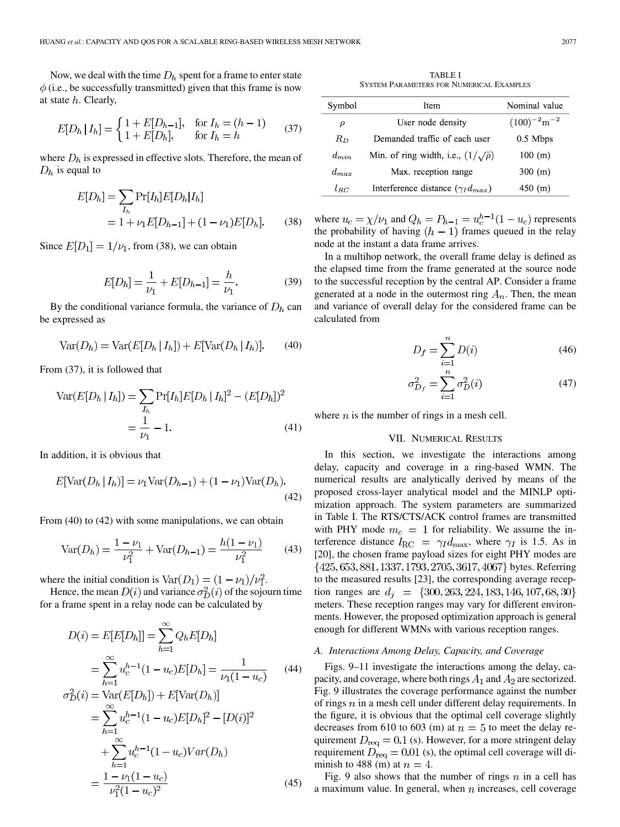<span id="page-7-0"></span>Now, we deal with the time  $D<sub>h</sub>$  spent for a frame to enter state  $\phi$  (i.e., be successfully transmitted) given that this frame is now at state  $h$ . Clearly,

$$
E[D_h | I_h] = \begin{cases} 1 + E[D_{h-1}], & \text{for } I_h = (h - 1) \\ 1 + E[D_h], & \text{for } I_h = h \end{cases}
$$
 (37)

where  $D<sub>h</sub>$  is expressed in effective slots. Therefore, the mean of  $D_h$  is equal to

$$
E[D_h] = \sum_{I_h} \Pr[I_h] E[D_h | I_h]
$$
  
= 1 +  $\nu_1 E[D_{h-1}] + (1 - \nu_1) E[D_h]$ . (38)

Since  $E[D_1] = 1/\nu_1$ , from (38), we can obtain

$$
E[D_h] = \frac{1}{\nu_1} + E[D_{h-1}] = \frac{h}{\nu_1}.
$$
 (39)

By the conditional variance formula, the variance of  $D<sub>h</sub>$  can be expressed as

$$
Var(D_h) = Var(E[D_h | I_h]) + E[Var(D_h | I_h)]. \quad (40)
$$

From (37), it is followed that

$$
\text{Var}(E[D_h | I_h]) = \sum_{I_h} \Pr[I_h] E[D_h | I_h]^2 - (E[D_h])^2
$$

$$
= \frac{1}{\nu_1} - 1.
$$
 (41)

In addition, it is obvious that

$$
E[\text{Var}(D_h | I_h)] = \nu_1 \text{Var}(D_{h-1}) + (1 - \nu_1) \text{Var}(D_h).
$$
\n(42)

From (40) to (42) with some manipulations, we can obtain

$$
\text{Var}(D_h) = \frac{1 - \nu_1}{\nu_1^2} + \text{Var}(D_{h-1}) = \frac{h(1 - \nu_1)}{\nu_1^2} \tag{43}
$$

where the initial condition is  $\text{Var}(D_1) = (1 - \nu_1)/\nu_1^2$ .

Hence, the mean  $D(i)$  and variance  $\sigma_D^2(i)$  of the sojourn time for a frame spent in a relay node can be calculated by

$$
D(i) = E[E[D_h]] = \sum_{h=1}^{\infty} Q_h E[D_h]
$$
  
\n
$$
= \sum_{h=1}^{\infty} u_c^{h-1} (1 - u_c) E[D_h] = \frac{1}{\nu_1 (1 - u_c)}
$$
(44)  
\n
$$
\sigma_D^2(i) = \text{Var}(E[D_h]) + E[\text{Var}(D_h)]
$$
  
\n
$$
= \sum_{h=1}^{\infty} u_c^{h-1} (1 - u_c) E[D_h]^2 - [D(i)]^2
$$
  
\n
$$
+ \sum_{h=1}^{\infty} u_c^{h-1} (1 - u_c) Var(D_h)
$$
  
\n
$$
= \frac{1 - \nu_1 (1 - u_c)}{\nu_1^2 (1 - u_c)^2}
$$
(45)

TABLE I SYSTEM PARAMETERS FOR NUMERICAL EXAMPLES

| Symbol    | Item                                        | Nominal value                |
|-----------|---------------------------------------------|------------------------------|
| ρ         | User node density                           | $(100)^{-2}$ m <sup>-2</sup> |
| $R_D$     | Demanded traffic of each user               | $0.5$ Mbps                   |
| $d_{min}$ | Min. of ring width, i.e., $(1/\sqrt{\rho})$ | 100 (m)                      |
| $d_{max}$ | Max. reception range                        | 300 (m)                      |
| $l_{RC}$  | Interference distance $(\gamma_I d_{max})$  | $450$ (m)                    |

where  $u_c = \chi/\nu_1$  and  $Q_h = P_{h-1} = u_c^{h-1}(1 - u_c)$  represents the probability of having  $(h-1)$  frames queued in the relay node at the instant a data frame arrives.

In a multihop network, the overall frame delay is defined as the elapsed time from the frame generated at the source node to the successful reception by the central AP. Consider a frame generated at a node in the outermost ring  $A_n$ . Then, the mean and variance of overall delay for the considered frame can be calculated from

$$
D_f = \sum_{i=1}^{n} D(i) \tag{46}
$$

$$
\sigma_{D_f}^2 = \sum_{i=1}^n \sigma_D^2(i) \tag{47}
$$

where  $n$  is the number of rings in a mesh cell.

# VII. NUMERICAL RESULTS

In this section, we investigate the interactions among delay, capacity and coverage in a ring-based WMN. The numerical results are analytically derived by means of the proposed cross-layer analytical model and the MINLP optimization approach. The system parameters are summarized in Table I. The RTS/CTS/ACK control frames are transmitted with PHY mode  $m_c = 1$  for reliability. We assume the interference distance  $l_{\rm RC} = \gamma_I d_{\rm max}$ , where  $\gamma_I$  is 1.5. As in [\[20\],](#page-10-0) the chosen frame payload sizes for eight PHY modes are {425, 653, 881, 1337, 1793, 2705, 3617, 4067} bytes. Referring to the measured results [\[23\]](#page-10-0), the corresponding average reception ranges are  $d_i = \{300, 263, 224, 183, 146, 107, 68, 30\}$ meters. These reception ranges may vary for different environments. However, the proposed optimization approach is general enough for different WMNs with various reception ranges.

#### *A. Interactions Among Delay, Capacity, and Coverage*

[Figs. 9–11](#page-8-0) investigate the interactions among the delay, capacity, and coverage, where both rings  $A_1$  and  $A_2$  are sectorized. [Fig. 9](#page-8-0) illustrates the coverage performance against the number of rings  $n$  in a mesh cell under different delay requirements. In the figure, it is obvious that the optimal cell coverage slightly decreases from 610 to 603 (m) at  $n = 5$  to meet the delay requirement  $D_{\text{req}} = 0.1$  (s). However, for a more stringent delay requirement  $D_{\text{req}} = 0.01$  (s), the optimal cell coverage will diminish to 488 (m) at  $n = 4$ .

[Fig. 9](#page-8-0) also shows that the number of rings  $n$  in a cell has a maximum value. In general, when  $n$  increases, cell coverage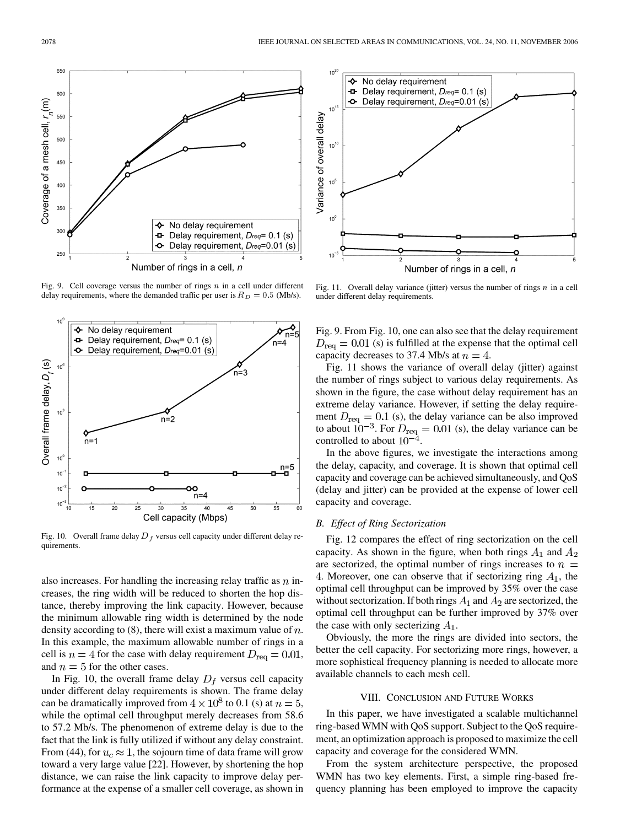<span id="page-8-0"></span>

Fig. 9. Cell coverage versus the number of rings  $n$  in a cell under different delay requirements, where the demanded traffic per user is  $R_D = 0.5$  (Mb/s).



Fig. 10. Overall frame delay  $D_f$  versus cell capacity under different delay requirements.

also increases. For handling the increasing relay traffic as  $n$  increases, the ring width will be reduced to shorten the hop distance, thereby improving the link capacity. However, because the minimum allowable ring width is determined by the node density according to  $(8)$ , there will exist a maximum value of  $n$ . In this example, the maximum allowable number of rings in a cell is  $n = 4$  for the case with delay requirement  $D_{\text{req}} = 0.01$ , and  $n = 5$  for the other cases.

In Fig. 10, the overall frame delay  $D_f$  versus cell capacity under different delay requirements is shown. The frame delay can be dramatically improved from  $4 \times 10^8$  to 0.1 (s) at  $n = 5$ , while the optimal cell throughput merely decreases from 58.6 to 57.2 Mb/s. The phenomenon of extreme delay is due to the fact that the link is fully utilized if without any delay constraint. From [\(44\)](#page-7-0), for  $u_c \approx 1$ , the sojourn time of data frame will grow toward a very large value [\[22\].](#page-10-0) However, by shortening the hop distance, we can raise the link capacity to improve delay performance at the expense of a smaller cell coverage, as shown in



Fig. 11. Overall delay variance (jitter) versus the number of rings  $n$  in a cell under different delay requirements.

Fig. 9. From Fig. 10, one can also see that the delay requirement  $D_{\text{req}} = 0.01$  (s) is fulfilled at the expense that the optimal cell capacity decreases to 37.4 Mb/s at  $n = 4$ .

Fig. 11 shows the variance of overall delay (jitter) against the number of rings subject to various delay requirements. As shown in the figure, the case without delay requirement has an extreme delay variance. However, if setting the delay requirement  $D_{\text{req}} = 0.1$  (s), the delay variance can be also improved to about  $10^{-3}$ . For  $D_{\text{req}} = 0.01$  (s), the delay variance can be controlled to about  $10^-$ 

In the above figures, we investigate the interactions among the delay, capacity, and coverage. It is shown that optimal cell capacity and coverage can be achieved simultaneously, and QoS (delay and jitter) can be provided at the expense of lower cell capacity and coverage.

# *B. Effect of Ring Sectorization*

[Fig. 12](#page-9-0) compares the effect of ring sectorization on the cell capacity. As shown in the figure, when both rings  $A_1$  and  $A_2$ are sectorized, the optimal number of rings increases to  $n =$ 4. Moreover, one can observe that if sectorizing ring  $A_1$ , the optimal cell throughput can be improved by 35% over the case without sectorization. If both rings  $A_1$  and  $A_2$  are sectorized, the optimal cell throughput can be further improved by 37% over the case with only secterizing  $A_1$ .

Obviously, the more the rings are divided into sectors, the better the cell capacity. For sectorizing more rings, however, a more sophistical frequency planning is needed to allocate more available channels to each mesh cell.

### VIII. CONCLUSION AND FUTURE WORKS

In this paper, we have investigated a scalable multichannel ring-based WMN with QoS support. Subject to the QoS requirement, an optimization approach is proposed to maximize the cell capacity and coverage for the considered WMN.

From the system architecture perspective, the proposed WMN has two key elements. First, a simple ring-based frequency planning has been employed to improve the capacity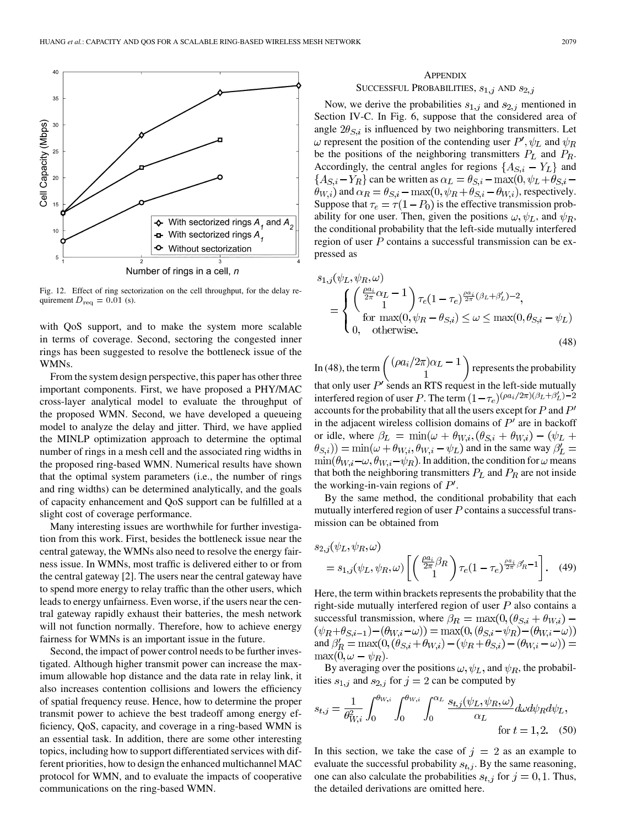<span id="page-9-0"></span>

Fig. 12. Effect of ring sectorization on the cell throughput, for the delay requirement  $D_{\text{req}} = 0.01$  (s).

with QoS support, and to make the system more scalable in terms of coverage. Second, sectoring the congested inner rings has been suggested to resolve the bottleneck issue of the WMNs.

From the system design perspective, this paper has other three important components. First, we have proposed a PHY/MAC cross-layer analytical model to evaluate the throughput of the proposed WMN. Second, we have developed a queueing model to analyze the delay and jitter. Third, we have applied the MINLP optimization approach to determine the optimal number of rings in a mesh cell and the associated ring widths in the proposed ring-based WMN. Numerical results have shown that the optimal system parameters (i.e., the number of rings and ring widths) can be determined analytically, and the goals of capacity enhancement and QoS support can be fulfilled at a slight cost of coverage performance.

Many interesting issues are worthwhile for further investigation from this work. First, besides the bottleneck issue near the central gateway, the WMNs also need to resolve the energy fairness issue. In WMNs, most traffic is delivered either to or from the central gateway [\[2\]](#page-10-0). The users near the central gateway have to spend more energy to relay traffic than the other users, which leads to energy unfairness. Even worse, if the users near the central gateway rapidly exhaust their batteries, the mesh network will not function normally. Therefore, how to achieve energy fairness for WMNs is an important issue in the future.

Second, the impact of power control needs to be further investigated. Although higher transmit power can increase the maximum allowable hop distance and the data rate in relay link, it also increases contention collisions and lowers the efficiency of spatial frequency reuse. Hence, how to determine the proper transmit power to achieve the best tradeoff among energy efficiency, QoS, capacity, and coverage in a ring-based WMN is an essential task. In addition, there are some other interesting topics, including how to support differentiated services with different priorities, how to design the enhanced multichannel MAC protocol for WMN, and to evaluate the impacts of cooperative communications on the ring-based WMN.

# **APPENDIX** SUCCESSFUL PROBABILITIES,  $s_{1,j}$  AND  $s_{2,j}$

Now, we derive the probabilities  $s_{1,j}$  and  $s_{2,j}$  mentioned in [Section IV-C](#page-4-0). In [Fig. 6,](#page-4-0) suppose that the considered area of angle  $2\theta_{S,i}$  is influenced by two neighboring transmitters. Let  $\omega$  represent the position of the contending user  $P', \psi_L$  and  $\psi_R$ be the positions of the neighboring transmitters  $P_L$  and  $P_R$ . Accordingly, the central angles for regions  $\{A_{S,i} - Y_L\}$  and  ${A_{S,i} - Y_R}$  can be written as  $\alpha_L = \theta_{S,i} - \max(0, \psi_L + \theta_{S,i} - \psi_R)$  $\hat{\theta}_{W,i}$  and  $\alpha_R = \theta_{S,i} - \max(0, \psi_R + \theta_{S,i} - \theta_{W,i})$ , respectively. Suppose that  $\tau_e = \tau(1 - P_0)$  is the effective transmission probability for one user. Then, given the positions  $\omega, \psi_L$ , and  $\psi_R$ , the conditional probability that the left-side mutually interfered region of user  $P$  contains a successful transmission can be expressed as

$$
s_{1,j}(\psi_L, \psi_R, \omega)
$$
  
= 
$$
\begin{cases} \left(\frac{\rho a_i}{2\pi} \alpha_L - 1\right) \tau_e (1 - \tau_e)^{\frac{\rho a_i}{2\pi} (\beta_L + \beta'_L) - 2}, \\ \text{for } \max(0, \psi_R - \theta_{S,i}) \leq \omega \leq \max(0, \theta_{S,i} - \psi_L) \\ 0, \quad \text{otherwise.} \end{cases}
$$
(48)

In (48), the term  $\binom{(\rho a_i/2\pi)\alpha_L-1}{1}$  represents the probability that only user  $P'$  sends an RTS request in the left-side mutually interfered region of user P. The term  $(1 - \tau_e)^{(\rho a_i/2\pi)(\beta_L + \beta'_L) - 2}$ accounts for the probability that all the users except for  $P$  and  $P'$ in the adjacent wireless collision domains of  $P'$  are in backoff or idle, where  $\beta_L = \min(\omega + \theta_{W,i}, (\theta_{S,i} + \theta_{W,i}) - (\psi_L +$  $(\theta_{S,i})) = \min(\omega + \theta_{W,i}, \theta_{W,i} - \psi_L)$  and in the same way  $\beta'_{L} =$  $\min(\theta_{W,i} - \omega, \theta_{W,i} - \psi_R)$ . In addition, the condition for  $\omega$  means that both the neighboring transmitters  $P_L$  and  $P_R$  are not inside the working-in-vain regions of  $P'$ .

By the same method, the conditional probability that each mutually interfered region of user  $P$  contains a successful transmission can be obtained from

$$
s_{2,j}(\psi_L, \psi_R, \omega)
$$
  
=  $s_{1,j}(\psi_L, \psi_R, \omega) \left[ \left( \frac{\rho a_i}{2\pi} \beta_R \right) \tau_e (1 - \tau_e)^{\frac{\rho a_j}{2\pi} \beta'_R - 1} \right].$  (49)

Here, the term within brackets represents the probability that the right-side mutually interfered region of user  $P$  also contains a successful transmission, where  $\beta_R = \max(0, (\theta_{S,i} + \theta_{W,i}) (\psi_R + \theta_{S,i-1}) - (\theta_{W,i} - \omega)) = \max(0, (\theta_{S,i} - \psi_R) - (\theta_{W,i} - \omega))$ <br>and  $\beta'_R = \max(0, (\theta_{S,i} + \theta_{W,i}) - (\psi_R + \theta_{S,i}) - (\theta_{W,i} - \omega)) =$  $\max(0, \omega - \psi_R).$ 

By averaging over the positions  $\omega$ ,  $\psi_L$ , and  $\psi_R$ , the probabilities  $s_{1,j}$  and  $s_{2,j}$  for  $j=2$  can be computed by

$$
s_{t,j} = \frac{1}{\theta_{W,i}^2} \int_0^{\theta_{W,i}} \int_0^{\theta_{W,i}} \int_0^{\alpha_L} \frac{s_{t,j}(\psi_L, \psi_R, \omega)}{\alpha_L} d\omega d\psi_R d\psi_L,
$$
 for  $t = 1, 2$ . (50)

In this section, we take the case of  $j = 2$  as an example to evaluate the successful probability  $s_{t,i}$ . By the same reasoning, one can also calculate the probabilities  $s_{t,i}$  for  $j = 0, 1$ . Thus, the detailed derivations are omitted here.